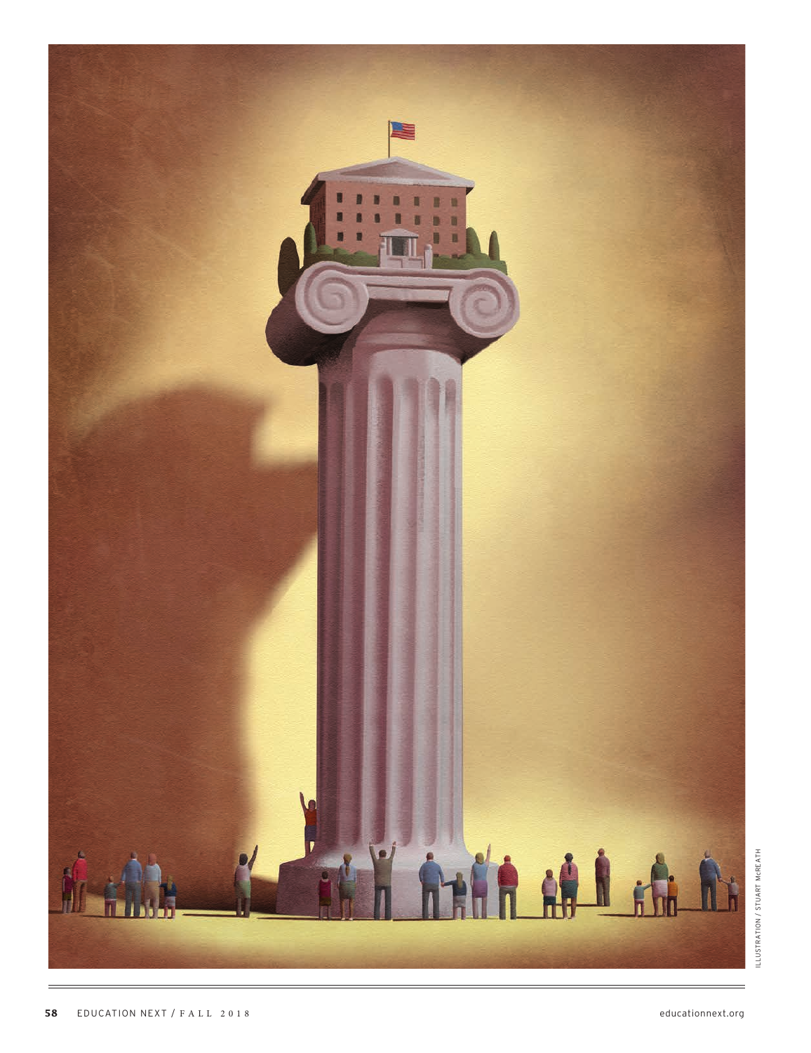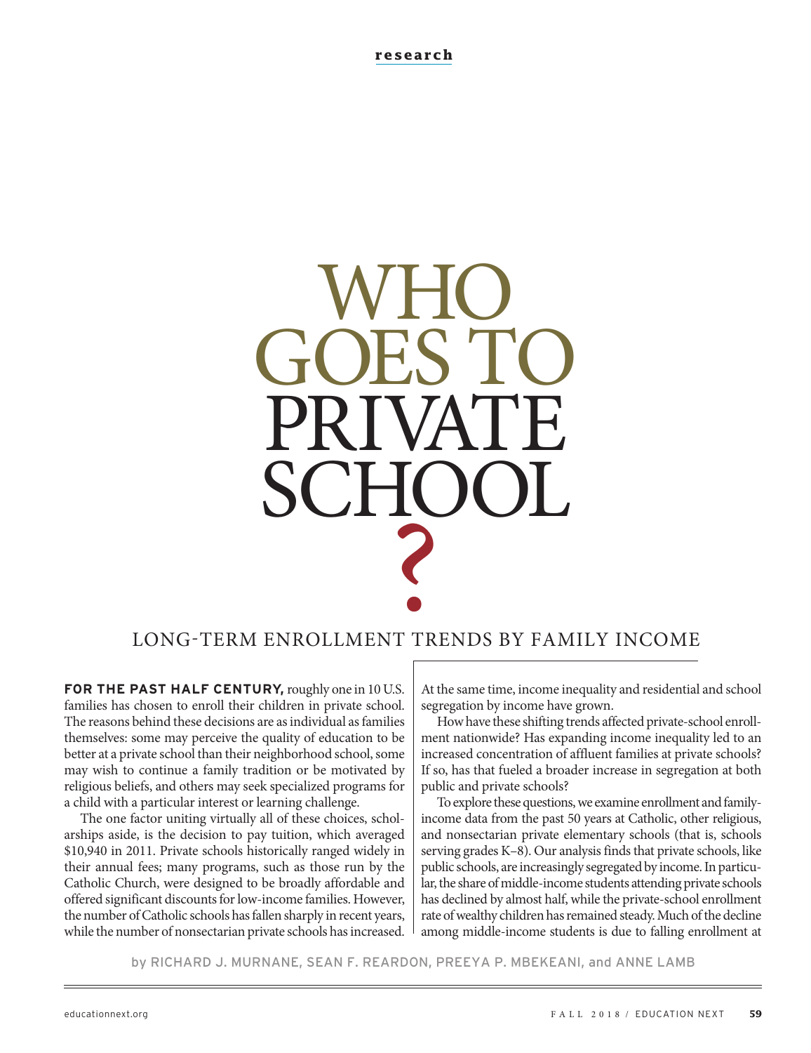# WHO. GOES TO PRIVATE SCHOOL ? LONG-TERM ENROLLMENT TRENDS BY FAMILY INCOME

**FOR THE PAST HALF CENTURY,** roughly one in 10 U.S. families has chosen to enroll their children in private school. The reasons behind these decisions are as individual as families themselves: some may perceive the quality of education to be better at a private school than their neighborhood school, some may wish to continue a family tradition or be motivated by religious beliefs, and others may seek specialized programs for a child with a particular interest or learning challenge.

The one factor uniting virtually all of these choices, scholarships aside, is the decision to pay tuition, which averaged \$10,940 in 2011. Private schools historically ranged widely in their annual fees; many programs, such as those run by the Catholic Church, were designed to be broadly affordable and offered significant discounts for low-income families. However, the number of Catholic schools has fallen sharply in recent years, while the number of nonsectarian private schools has increased.

At the same time, income inequality and residential and school segregation by income have grown.

How have these shifting trends affected private-school enrollment nationwide? Has expanding income inequality led to an increased concentration of affluent families at private schools? If so, has that fueled a broader increase in segregation at both public and private schools?

To explore these questions, we examine enrollment and familyincome data from the past 50 years at Catholic, other religious, and nonsectarian private elementary schools (that is, schools serving grades K–8). Our analysis finds that private schools, like public schools, are increasingly segregated by income. In particular, the share of middle-income students attending private schools has declined by almost half, while the private-school enrollment rate of wealthy children has remained steady. Much of the decline among middle-income students is due to falling enrollment at

by RICHARD J. MURNANE, SEAN F. REARDON, PREEYA P. MBEKEANI, and ANNE LAMB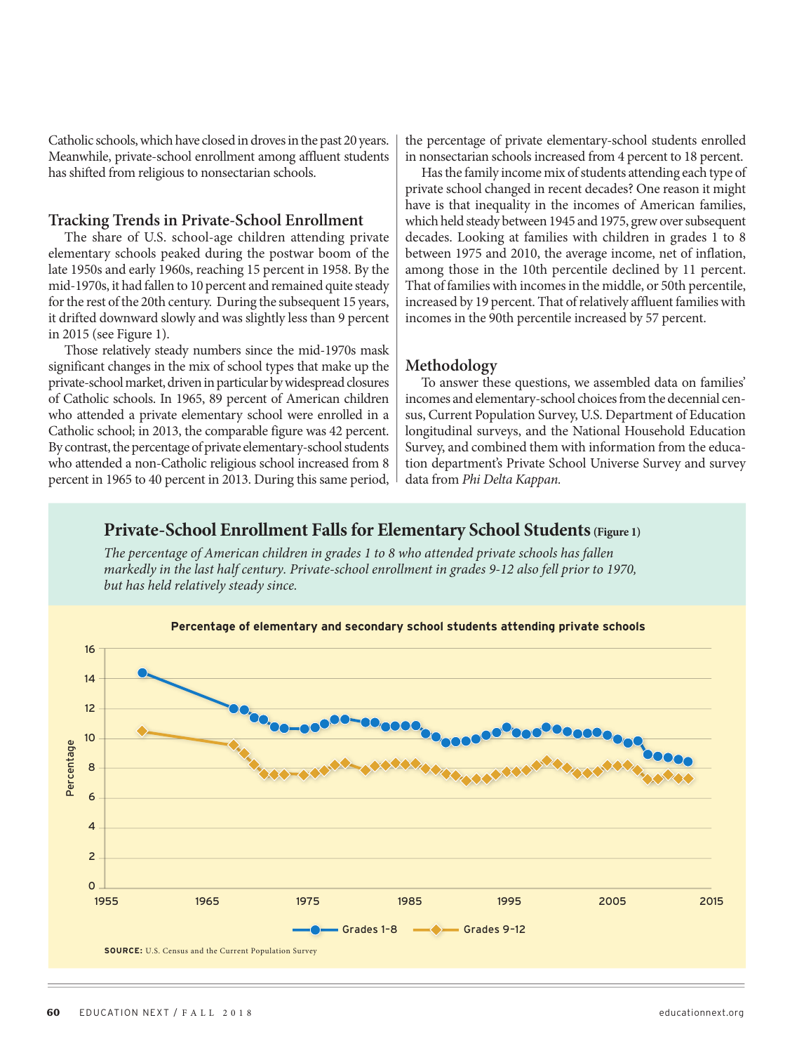Catholic schools, which have closed in droves in the past 20 years. Meanwhile, private-school enrollment among affluent students has shifted from religious to nonsectarian schools.

#### **Tracking Trends in Private-School Enrollment**

The share of U.S. school-age children attending private elementary schools peaked during the postwar boom of the late 1950s and early 1960s, reaching 15 percent in 1958. By the mid-1970s, it had fallen to 10 percent and remained quite steady for the rest of the 20th century. During the subsequent 15 years, it drifted downward slowly and was slightly less than 9 percent in 2015 (see Figure 1).

Those relatively steady numbers since the mid-1970s mask significant changes in the mix of school types that make up the private-school market, driven in particular by widespread closures of Catholic schools. In 1965, 89 percent of American children who attended a private elementary school were enrolled in a Catholic school; in 2013, the comparable figure was 42 percent. By contrast, the percentage of private elementary-school students who attended a non-Catholic religious school increased from 8 percent in 1965 to 40 percent in 2013. During this same period,

the percentage of private elementary-school students enrolled in nonsectarian schools increased from 4 percent to 18 percent.

Has the family income mix of students attending each type of private school changed in recent decades? One reason it might have is that inequality in the incomes of American families, which held steady between 1945 and 1975, grew over subsequent decades. Looking at families with children in grades 1 to 8 between 1975 and 2010, the average income, net of inflation, among those in the 10th percentile declined by 11 percent. That of families with incomes in the middle, or 50th percentile, increased by 19 percent. That of relatively affluent families with incomes in the 90th percentile increased by 57 percent.

#### **Methodology**

To answer these questions, we assembled data on families' incomes and elementary-school choices from the decennial census, Current Population Survey, U.S. Department of Education longitudinal surveys, and the National Household Education Survey, and combined them with information from the education department's Private School Universe Survey and survey data from *Phi Delta Kappan.*

## **Private-School Enrollment Falls for Elementary School Students (Figure 1)**

*The percentage of American children in grades 1 to 8 who attended private schools has fallen markedly in the last half century. Private-school enrollment in grades 9-12 also fell prior to 1970, but has held relatively steady since.*

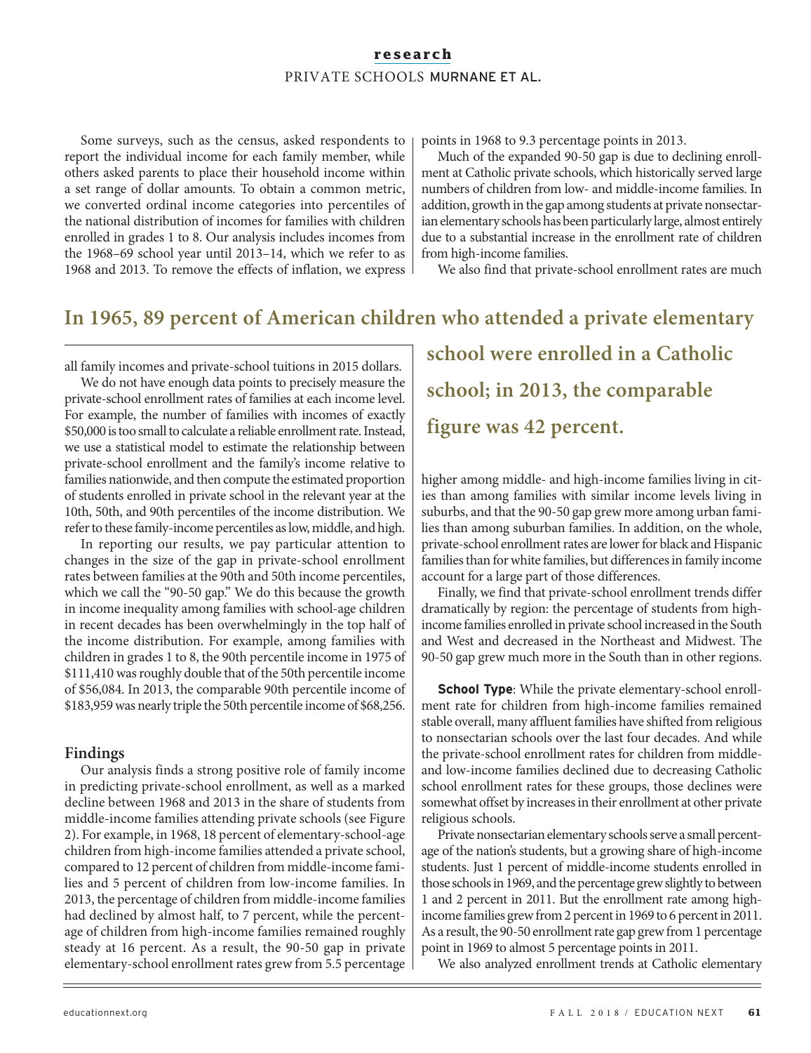Some surveys, such as the census, asked respondents to report the individual income for each family member, while others asked parents to place their household income within a set range of dollar amounts. To obtain a common metric, we converted ordinal income categories into percentiles of the national distribution of incomes for families with children enrolled in grades 1 to 8. Our analysis includes incomes from the 1968–69 school year until 2013–14, which we refer to as 1968 and 2013. To remove the effects of inflation, we express points in 1968 to 9.3 percentage points in 2013.

Much of the expanded 90-50 gap is due to declining enrollment at Catholic private schools, which historically served large numbers of children from low- and middle-income families. In addition, growth in the gap among students at private nonsectarian elementary schools has been particularly large, almost entirely due to a substantial increase in the enrollment rate of children from high-income families.

We also find that private-school enrollment rates are much

# **In 1965, 89 percent of American children who attended a private elementary**

all family incomes and private-school tuitions in 2015 dollars.

We do not have enough data points to precisely measure the private-school enrollment rates of families at each income level. For example, the number of families with incomes of exactly \$50,000 is too small to calculate a reliable enrollment rate. Instead, we use a statistical model to estimate the relationship between private-school enrollment and the family's income relative to families nationwide, and then compute the estimated proportion of students enrolled in private school in the relevant year at the 10th, 50th, and 90th percentiles of the income distribution. We refer to these family-income percentiles as low, middle, and high.

In reporting our results, we pay particular attention to changes in the size of the gap in private-school enrollment rates between families at the 90th and 50th income percentiles, which we call the "90-50 gap." We do this because the growth in income inequality among families with school-age children in recent decades has been overwhelmingly in the top half of the income distribution. For example, among families with children in grades 1 to 8, the 90th percentile income in 1975 of \$111,410 was roughly double that of the 50th percentile income of \$56,084. In 2013, the comparable 90th percentile income of \$183,959 was nearly triple the 50th percentile income of \$68,256.

#### **Findings**

Our analysis finds a strong positive role of family income in predicting private-school enrollment, as well as a marked decline between 1968 and 2013 in the share of students from middle-income families attending private schools (see Figure 2). For example, in 1968, 18 percent of elementary-school-age children from high-income families attended a private school, compared to 12 percent of children from middle-income families and 5 percent of children from low-income families. In 2013, the percentage of children from middle-income families had declined by almost half, to 7 percent, while the percentage of children from high-income families remained roughly steady at 16 percent. As a result, the 90-50 gap in private elementary-school enrollment rates grew from 5.5 percentage **school were enrolled in a Catholic school; in 2013, the comparable figure was 42 percent.**

higher among middle- and high-income families living in cities than among families with similar income levels living in suburbs, and that the 90-50 gap grew more among urban families than among suburban families. In addition, on the whole, private-school enrollment rates are lower for black and Hispanic families than for white families, but differences in family income account for a large part of those differences.

Finally, we find that private-school enrollment trends differ dramatically by region: the percentage of students from highincome families enrolled in private school increased in the South and West and decreased in the Northeast and Midwest. The 90-50 gap grew much more in the South than in other regions.

**School Type**: While the private elementary-school enrollment rate for children from high-income families remained stable overall, many affluent families have shifted from religious to nonsectarian schools over the last four decades. And while the private-school enrollment rates for children from middleand low-income families declined due to decreasing Catholic school enrollment rates for these groups, those declines were somewhat offset by increases in their enrollment at other private religious schools.

Private nonsectarian elementary schools serve a small percentage of the nation's students, but a growing share of high-income students. Just 1 percent of middle-income students enrolled in those schools in 1969, and the percentage grew slightly to between 1 and 2 percent in 2011. But the enrollment rate among highincome families grew from 2 percent in 1969 to 6 percent in 2011. As a result, the 90-50 enrollment rate gap grew from 1 percentage point in 1969 to almost 5 percentage points in 2011.

We also analyzed enrollment trends at Catholic elementary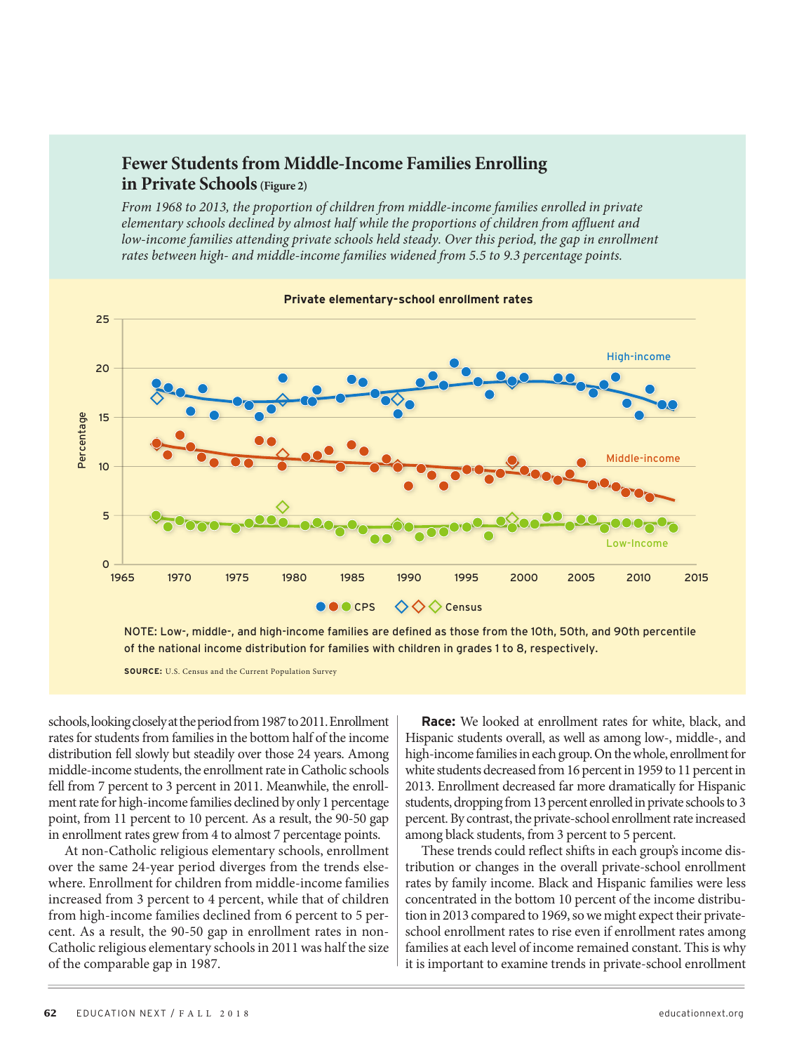# **Fewer Students from Middle-Income Families Enrolling in Private Schools(Figure 2)**

*From 1968 to 2013, the proportion of children from middle-income families enrolled in private elementary schools declined by almost half while the proportions of children from affluent and low-income families attending private schools held steady. Over this period, the gap in enrollment rates between high- and middle-income families widened from 5.5 to 9.3 percentage points.*



**Private elementary-school enrollment rates**

NOTE: Low-, middle-, and high-income families are defined as those from the 10th, 50th, and 90th percentile of the national income distribution for families with children in grades 1 to 8, respectively.

**SOURCE:** U.S. Census and the Current Population Survey

schools, looking closely at the period from 1987 to 2011. Enrollment rates for students from families in the bottom half of the income distribution fell slowly but steadily over those 24 years. Among middle-income students, the enrollment rate in Catholic schools fell from 7 percent to 3 percent in 2011. Meanwhile, the enrollment rate for high-income families declined by only 1 percentage point, from 11 percent to 10 percent. As a result, the 90-50 gap in enrollment rates grew from 4 to almost 7 percentage points.

At non-Catholic religious elementary schools, enrollment over the same 24-year period diverges from the trends elsewhere. Enrollment for children from middle-income families increased from 3 percent to 4 percent, while that of children from high-income families declined from 6 percent to 5 percent. As a result, the 90-50 gap in enrollment rates in non-Catholic religious elementary schools in 2011 was half the size of the comparable gap in 1987.

**Race:** We looked at enrollment rates for white, black, and Hispanic students overall, as well as among low-, middle-, and high-income families in each group. On the whole, enrollment for white students decreased from 16 percent in 1959 to 11 percent in 2013. Enrollment decreased far more dramatically for Hispanic students, dropping from 13 percent enrolled in private schools to 3 percent. By contrast, the private-school enrollment rate increased among black students, from 3 percent to 5 percent.

These trends could reflect shifts in each group's income distribution or changes in the overall private-school enrollment rates by family income. Black and Hispanic families were less concentrated in the bottom 10 percent of the income distribution in 2013 compared to 1969, so we might expect their privateschool enrollment rates to rise even if enrollment rates among families at each level of income remained constant. This is why it is important to examine trends in private-school enrollment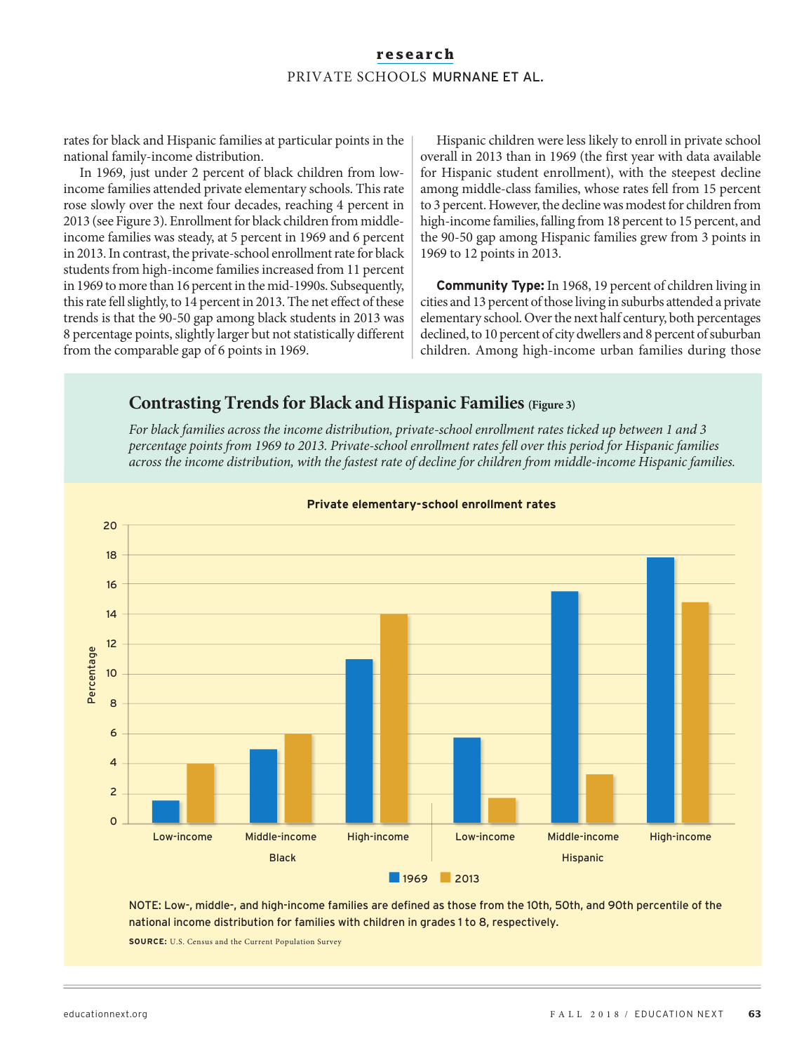rates for black and Hispanic families at particular points in the national family-income distribution.

In 1969, just under 2 percent of black children from lowincome families attended private elementary schools. This rate rose slowly over the next four decades, reaching 4 percent in 2013 (see Figure 3). Enrollment for black children from middleincome families was steady, at 5 percent in 1969 and 6 percent in 2013. In contrast, the private-school enrollment rate for black students from high-income families increased from 11 percent in 1969 to more than 16 percent in the mid-1990s. Subsequently, this rate fell slightly, to 14 percent in 2013. The net effect of these trends is that the 90-50 gap among black students in 2013 was 8 percentage points, slightly larger but not statistically different from the comparable gap of 6 points in 1969.

Hispanic children were less likely to enroll in private school overall in 2013 than in 1969 (the first year with data available for Hispanic student enrollment), with the steepest decline among middle-class families, whose rates fell from 15 percent to 3 percent. However, the decline was modest for children from high-income families, falling from 18 percent to 15 percent, and the 90-50 gap among Hispanic families grew from 3 points in 1969 to 12 points in 2013.

**Community Type:** In 1968, 19 percent of children living in cities and 13 percent of those living in suburbs attended a private elementary school. Over the next half century, both percentages declined, to 10 percent of city dwellers and 8 percent of suburban children. Among high-income urban families during those

# **Contrasting Trends for Black and Hispanic Families (Figure 3)**

*For black families across the income distribution, private-school enrollment rates ticked up between 1 and 3 percentage points from 1969 to 2013. Private-school enrollment rates fell over this period for Hispanic families across the income distribution, with the fastest rate of decline for children from middle-income Hispanic families.*



**Private elementary-school enrollment rates**

NOTE: Low-, middle-, and high-income families are defined as those from the 10th, 50th, and 90th percentile of the national income distribution for families with children in grades 1 to 8, respectively.

**SOURCE:** U.S. Census and the Current Population Survey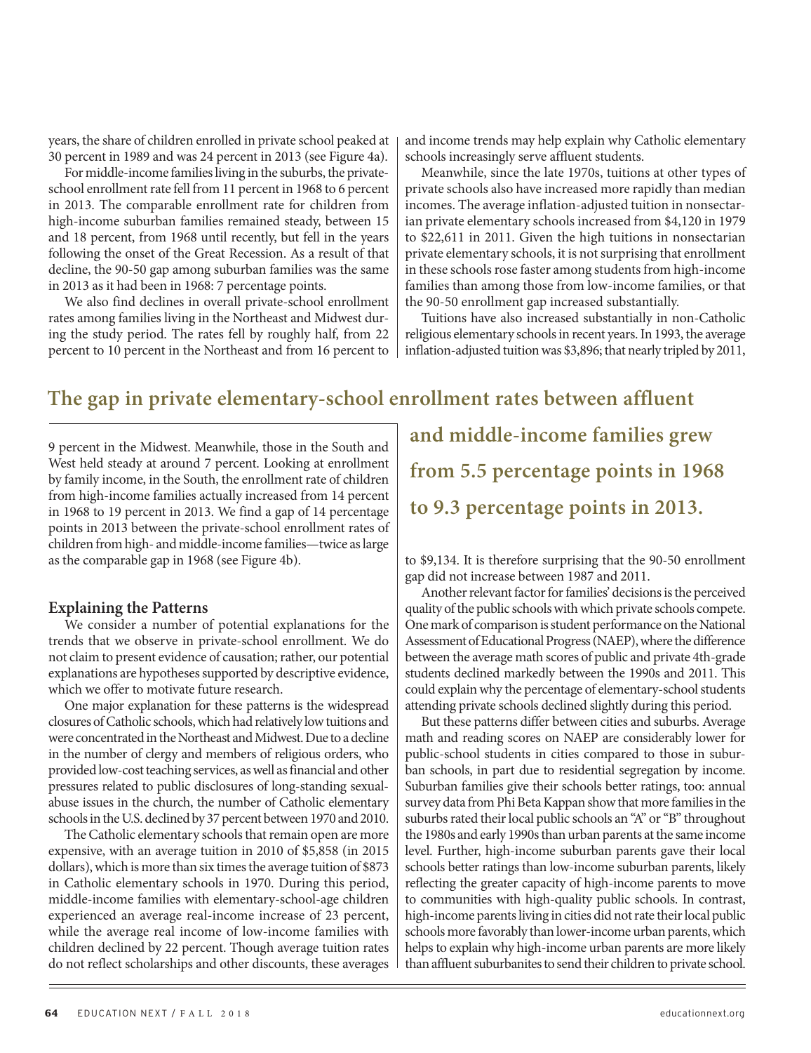years, the share of children enrolled in private school peaked at 30 percent in 1989 and was 24 percent in 2013 (see Figure 4a).

For middle-income families living in the suburbs, the privateschool enrollment rate fell from 11 percent in 1968 to 6 percent in 2013. The comparable enrollment rate for children from high-income suburban families remained steady, between 15 and 18 percent, from 1968 until recently, but fell in the years following the onset of the Great Recession. As a result of that decline, the 90-50 gap among suburban families was the same in 2013 as it had been in 1968: 7 percentage points.

We also find declines in overall private-school enrollment rates among families living in the Northeast and Midwest during the study period. The rates fell by roughly half, from 22 percent to 10 percent in the Northeast and from 16 percent to and income trends may help explain why Catholic elementary schools increasingly serve affluent students.

Meanwhile, since the late 1970s, tuitions at other types of private schools also have increased more rapidly than median incomes. The average inflation-adjusted tuition in nonsectarian private elementary schools increased from \$4,120 in 1979 to \$22,611 in 2011. Given the high tuitions in nonsectarian private elementary schools, it is not surprising that enrollment in these schools rose faster among students from high-income families than among those from low-income families, or that the 90-50 enrollment gap increased substantially.

Tuitions have also increased substantially in non-Catholic religious elementary schools in recent years. In 1993, the average inflation-adjusted tuition was \$3,896; that nearly tripled by 2011,

# **The gap in private elementary-school enrollment rates between affluent**

9 percent in the Midwest. Meanwhile, those in the South and West held steady at around 7 percent. Looking at enrollment by family income, in the South, the enrollment rate of children from high-income families actually increased from 14 percent in 1968 to 19 percent in 2013. We find a gap of 14 percentage points in 2013 between the private-school enrollment rates of children from high- and middle-income families—twice as large as the comparable gap in 1968 (see Figure 4b).

#### **Explaining the Patterns**

We consider a number of potential explanations for the trends that we observe in private-school enrollment. We do not claim to present evidence of causation; rather, our potential explanations are hypotheses supported by descriptive evidence, which we offer to motivate future research.

One major explanation for these patterns is the widespread closures of Catholic schools, which had relatively low tuitions and were concentrated in the Northeast and Midwest. Due to a decline in the number of clergy and members of religious orders, who provided low-cost teaching services, as well as financial and other pressures related to public disclosures of long-standing sexualabuse issues in the church, the number of Catholic elementary schools in the U.S. declined by 37 percent between 1970 and 2010.

The Catholic elementary schools that remain open are more expensive, with an average tuition in 2010 of \$5,858 (in 2015 dollars), which is more than six times the average tuition of \$873 in Catholic elementary schools in 1970. During this period, middle-income families with elementary-school-age children experienced an average real-income increase of 23 percent, while the average real income of low-income families with children declined by 22 percent. Though average tuition rates do not reflect scholarships and other discounts, these averages

**and middle-income families grew from 5.5 percentage points in 1968 to 9.3 percentage points in 2013.**

to \$9,134. It is therefore surprising that the 90-50 enrollment gap did not increase between 1987 and 2011.

Another relevant factor for families' decisions is the perceived quality of the public schools with which private schools compete. One mark of comparison is student performance on the National Assessment of Educational Progress (NAEP), where the difference between the average math scores of public and private 4th-grade students declined markedly between the 1990s and 2011. This could explain why the percentage of elementary-school students attending private schools declined slightly during this period.

But these patterns differ between cities and suburbs. Average math and reading scores on NAEP are considerably lower for public-school students in cities compared to those in suburban schools, in part due to residential segregation by income. Suburban families give their schools better ratings, too: annual survey data from Phi Beta Kappan show that more families in the suburbs rated their local public schools an "A" or "B" throughout the 1980s and early 1990s than urban parents at the same income level. Further, high-income suburban parents gave their local schools better ratings than low-income suburban parents, likely reflecting the greater capacity of high-income parents to move to communities with high-quality public schools. In contrast, high-income parents living in cities did not rate their local public schools more favorably than lower-income urban parents, which helps to explain why high-income urban parents are more likely than affluent suburbanites to send their children to private school.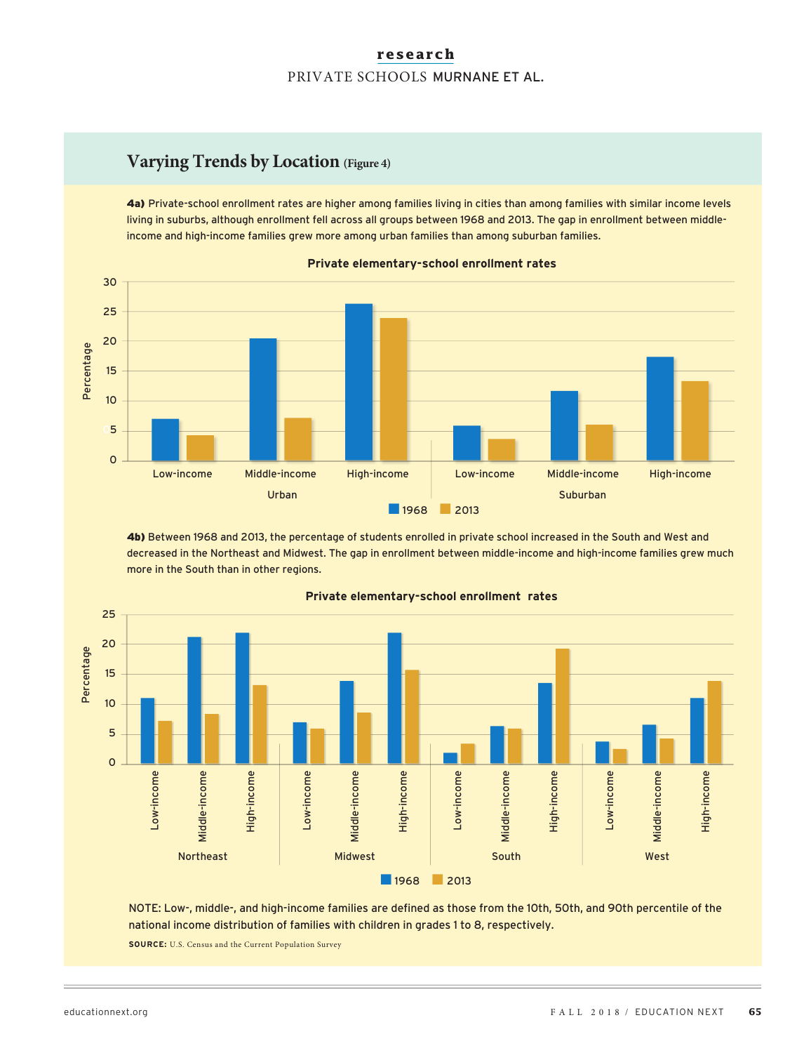# **Varying Trends by Location (Figure 4)**

4a) Private-school enrollment rates are higher among families living in cities than among families with similar income levels living in suburbs, although enrollment fell across all groups between 1968 and 2013. The gap in enrollment between middleincome and high-income families grew more among urban families than among suburban families.



**Private elementary-school enrollment rates**

4b) Between 1968 and 2013, the percentage of students enrolled in private school increased in the South and West and decreased in the Northeast and Midwest. The gap in enrollment between middle-income and high-income families grew much more in the South than in other regions.



#### **Private elementary-school enrollment rates**

NOTE: Low-, middle-, and high-income families are defined as those from the 10th, 50th, and 90th percentile of the national income distribution of families with children in grades 1 to 8, respectively.

**SOURCE:** U.S. Census and the Current Population Survey